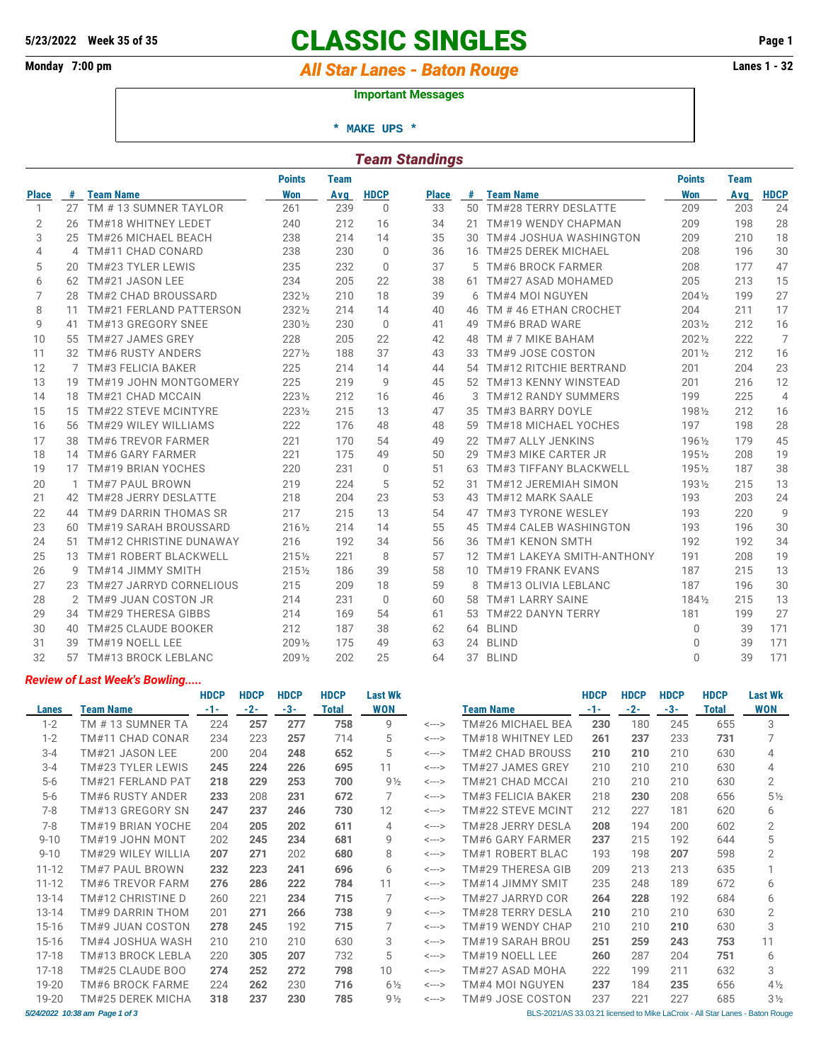# **5/23/2022 Week 35 of 35 CLASSIC SINGLES Page 1**

## Monday 7:00 pm *All Star Lanes - Baton Rouge* **Lanes 1 - 32**

#### **Important Messages**

 **\* MAKE UPS \***

| <b>Team Standings</b> |    |                                |                  |             |             |              |    |                               |                  |             |                |  |  |
|-----------------------|----|--------------------------------|------------------|-------------|-------------|--------------|----|-------------------------------|------------------|-------------|----------------|--|--|
|                       |    |                                | <b>Points</b>    | <b>Team</b> |             |              |    |                               | <b>Points</b>    | <b>Team</b> |                |  |  |
| <b>Place</b>          | #  | <b>Team Name</b>               | <b>Won</b>       | Avg         | <b>HDCP</b> | <b>Place</b> | #  | <b>Team Name</b>              | <b>Won</b>       | Avg         | <b>HDCP</b>    |  |  |
| 1                     | 27 | TM #13 SUMNER TAYLOR           | 261              | 239         | $\Omega$    | 33           | 50 | TM#28 TERRY DESLATTE          | 209              | 203         | 24             |  |  |
| $\overline{2}$        | 26 | TM#18 WHITNEY LEDET            | 240              | 212         | 16          | 34           | 21 | TM#19 WENDY CHAPMAN           | 209              | 198         | 28             |  |  |
| 3                     | 25 | TM#26 MICHAEL BEACH            | 238              | 214         | 14          | 35           | 30 | TM#4 JOSHUA WASHINGTON        | 209              | 210         | 18             |  |  |
| 4                     | 4  | TM#11 CHAD CONARD              | 238              | 230         | $\Omega$    | 36           | 16 | <b>TM#25 DEREK MICHAEL</b>    | 208              | 196         | 30             |  |  |
| 5                     | 20 | TM#23 TYLER LEWIS              | 235              | 232         | $\Omega$    | 37           | 5  | <b>TM#6 BROCK FARMER</b>      | 208              | 177         | 47             |  |  |
| 6                     | 62 | TM#21 JASON LEE                | 234              | 205         | 22          | 38           | 61 | TM#27 ASAD MOHAMED            | 205              | 213         | 15             |  |  |
| 7                     | 28 | TM#2 CHAD BROUSSARD            | 2321/2           | 210         | 18          | 39           | 6  | TM#4 MOI NGUYEN               | $204\%$          | 199         | 27             |  |  |
| 8                     | 11 | <b>TM#21 FERLAND PATTERSON</b> | 2321/2           | 214         | 14          | 40           | 46 | TM #46 ETHAN CROCHET          | 204              | 211         | 17             |  |  |
| 9                     | 41 | TM#13 GREGORY SNEE             | 230 1/2          | 230         | $\Omega$    | 41           | 49 | TM#6 BRAD WARE                | 2031/2           | 212         | 16             |  |  |
| 10                    | 55 | TM#27 JAMES GREY               | 228              | 205         | 22          | 42           | 48 | TM # 7 MIKE BAHAM             | 2021/2           | 222         | 7              |  |  |
| 11                    |    | 32 TM#6 RUSTY ANDERS           | $227\frac{1}{2}$ | 188         | 37          | 43           | 33 | TM#9 JOSE COSTON              | $201\frac{1}{2}$ | 212         | 16             |  |  |
| 12                    |    | 7 TM#3 FELICIA BAKER           | 225              | 214         | 14          | 44           |    | 54 TM#12 RITCHIE BERTRAND     | 201              | 204         | 23             |  |  |
| 13                    | 19 | TM#19 JOHN MONTGOMERY          | 225              | 219         | 9           | 45           |    | 52 TM#13 KENNY WINSTEAD       | 201              | 216         | 12             |  |  |
| 14                    | 18 | TM#21 CHAD MCCAIN              | $223\%$          | 212         | 16          | 46           | 3  | <b>TM#12 RANDY SUMMERS</b>    | 199              | 225         | $\overline{4}$ |  |  |
| 15                    | 15 | <b>TM#22 STEVE MCINTYRE</b>    | $223\%$          | 215         | 13          | 47           | 35 | TM#3 BARRY DOYLE              | 1981/2           | 212         | 16             |  |  |
| 16                    | 56 | TM#29 WILEY WILLIAMS           | 222              | 176         | 48          | 48           | 59 | <b>TM#18 MICHAEL YOCHES</b>   | 197              | 198         | 28             |  |  |
| 17                    | 38 | <b>TM#6 TREVOR FARMER</b>      | 221              | 170         | 54          | 49           | 22 | TM#7 ALLY JENKINS             | 1961/2           | 179         | 45             |  |  |
| 18                    |    | 14 TM#6 GARY FARMER            | 221              | 175         | 49          | 50           | 29 | TM#3 MIKE CARTER JR           | 1951/2           | 208         | 19             |  |  |
| 19                    |    | 17 TM#19 BRIAN YOCHES          | 220              | 231         | $\Omega$    | 51           | 63 | <b>TM#3 TIFFANY BLACKWELL</b> | 1951/2           | 187         | 38             |  |  |
| 20                    | 1  | <b>TM#7 PAUL BROWN</b>         | 219              | 224         | 5           | 52           | 31 | TM#12 JEREMIAH SIMON          | 1931/2           | 215         | 13             |  |  |
| 21                    | 42 | TM#28 JERRY DESLATTE           | 218              | 204         | 23          | 53           | 43 | TM#12 MARK SAALE              | 193              | 203         | 24             |  |  |
| 22                    | 44 | TM#9 DARRIN THOMAS SR          | 217              | 215         | 13          | 54           | 47 | TM#3 TYRONE WESLEY            | 193              | 220         | 9              |  |  |
| 23                    | 60 | TM#19 SARAH BROUSSARD          | 2161/2           | 214         | 14          | 55           | 45 | <b>TM#4 CALEB WASHINGTON</b>  | 193              | 196         | 30             |  |  |
| 24                    | 51 | TM#12 CHRISTINE DUNAWAY        | 216              | 192         | 34          | 56           | 36 | <b>TM#1 KENON SMTH</b>        | 192              | 192         | 34             |  |  |
| 25                    | 13 | <b>TM#1 ROBERT BLACKWELL</b>   | $215\frac{1}{2}$ | 221         | 8           | 57           |    | 12 TM#1 LAKEYA SMITH-ANTHONY  | 191              | 208         | 19             |  |  |
| 26                    | 9  | TM#14 JIMMY SMITH              | $215\frac{1}{2}$ | 186         | 39          | 58           |    | 10 TM#19 FRANK EVANS          | 187              | 215         | 13             |  |  |
| 27                    |    | 23 TM#27 JARRYD CORNELIOUS     | 215              | 209         | 18          | 59           |    | TM#13 OLIVIA LEBLANC          | 187              | 196         | 30             |  |  |
| 28                    |    | 2 TM#9 JUAN COSTON JR          | 214              | 231         | $\Omega$    | 60           | 58 | <b>TM#1 LARRY SAINE</b>       | 1841/2           | 215         | 13             |  |  |
| 29                    |    | 34 TM#29 THERESA GIBBS         | 214              | 169         | 54          | 61           | 53 | TM#22 DANYN TERRY             | 181              | 199         | 27             |  |  |
| 30                    | 40 | TM#25 CLAUDE BOOKER            | 212              | 187         | 38          | 62           |    | 64 BLIND                      | $\Omega$         | 39          | 171            |  |  |
| 31                    | 39 | TM#19 NOELL LEE                | 2091/2           | 175         | 49          | 63           |    | 24 BLIND                      | $\Omega$         | 39          | 171            |  |  |
| 32                    | 57 | TM#13 BROCK LEBLANC            | 2091/2           | 202         | 25          | 64           |    | 37 BLIND                      | $\Omega$         | 39          | 171            |  |  |

#### *Review of Last Week's Bowling.....*

|                                                                                                                |                         | <b>HDCP</b> | <b>HDCP</b> | <b>HDCP</b> | <b>HDCP</b>  | <b>Last Wk</b> |                            |                    | <b>HDCP</b> | <b>HDCP</b> | <b>HDCP</b> | <b>HDCP</b>  | Last Wk        |
|----------------------------------------------------------------------------------------------------------------|-------------------------|-------------|-------------|-------------|--------------|----------------|----------------------------|--------------------|-------------|-------------|-------------|--------------|----------------|
| Lanes                                                                                                          | <b>Team Name</b>        | $-1-$       | $-2-$       | $-3-$       | <b>Total</b> | WON            |                            | <b>Team Name</b>   | $-1-$       | $-2-$       | $-3-$       | <b>Total</b> | <b>WON</b>     |
| $1 - 2$                                                                                                        | TM # 13 SUMNER TA       | 224         | 257         | 277         | 758          | 9              | $\leftarrow$ $\rightarrow$ | TM#26 MICHAEL BEA  | 230         | 180         | 245         | 655          | 3              |
| $1 - 2$                                                                                                        | TM#11 CHAD CONAR        | 234         | 223         | 257         | 714          | 5              | <--->                      | TM#18 WHITNEY LED  | 261         | 237         | 233         | 731          |                |
| $3 - 4$                                                                                                        | TM#21 JASON LEE         | 200         | 204         | 248         | 652          | 5              | <--->                      | TM#2 CHAD BROUSS   | 210         | 210         | 210         | 630          | 4              |
| $3 - 4$                                                                                                        | TM#23 TYLER LEWIS       | 245         | 224         | 226         | 695          | 11             | $\leftarrow$ $\rightarrow$ | TM#27 JAMES GREY   | 210         | 210         | 210         | 630          | 4              |
| $5-6$                                                                                                          | TM#21 FERLAND PAT       | 218         | 229         | 253         | 700          | $9\frac{1}{2}$ | <--->                      | TM#21 CHAD MCCAI   | 210         | 210         | 210         | 630          | $\overline{2}$ |
| $5-6$                                                                                                          | <b>TM#6 RUSTY ANDER</b> | 233         | 208         | 231         | 672          | 7              | <--->                      | TM#3 FELICIA BAKER | 218         | 230         | 208         | 656          | $5\frac{1}{2}$ |
| $7-8$                                                                                                          | TM#13 GREGORY SN        | 247         | 237         | 246         | 730          | 12             | $\leftarrow$ $\rightarrow$ | TM#22 STEVE MCINT  | 212         | 227         | 181         | 620          | 6              |
| $7 - 8$                                                                                                        | TM#19 BRIAN YOCHE       | 204         | 205         | 202         | 611          | 4              | <--->                      | TM#28 JERRY DESLA  | 208         | 194         | 200         | 602          | $\overline{2}$ |
| $9 - 10$                                                                                                       | TM#19 JOHN MONT         | 202         | 245         | 234         | 681          | 9              | <--->                      | TM#6 GARY FARMER   | 237         | 215         | 192         | 644          | 5              |
| $9 - 10$                                                                                                       | TM#29 WILEY WILLIA      | 207         | 271         | 202         | 680          | 8              | <--->                      | TM#1 ROBERT BLAC   | 193         | 198         | 207         | 598          | 2              |
| $11 - 12$                                                                                                      | TM#7 PAUL BROWN         | 232         | 223         | 241         | 696          | 6              | <--->                      | TM#29 THERESA GIB  | 209         | 213         | 213         | 635          |                |
| $11 - 12$                                                                                                      | TM#6 TREVOR FARM        | 276         | 286         | 222         | 784          | 11             | $\leftarrow$ $\rightarrow$ | TM#14 JIMMY SMIT   | 235         | 248         | 189         | 672          | 6              |
| $13 - 14$                                                                                                      | TM#12 CHRISTINE D       | 260         | 221         | 234         | 715          | 7              | $\leftarrow$ $\rightarrow$ | TM#27 JARRYD COR   | 264         | 228         | 192         | 684          | 6              |
| $13 - 14$                                                                                                      | TM#9 DARRIN THOM        | 201         | 271         | 266         | 738          | 9              | <--->                      | TM#28 TERRY DESLA  | 210         | 210         | 210         | 630          | $\overline{2}$ |
| $15 - 16$                                                                                                      | TM#9 JUAN COSTON        | 278         | 245         | 192         | 715          | 7              | <--->                      | TM#19 WENDY CHAP   | 210         | 210         | 210         | 630          | 3              |
| $15 - 16$                                                                                                      | TM#4 JOSHUA WASH        | 210         | 210         | 210         | 630          | 3              | $\leftarrow$ $\rightarrow$ | TM#19 SARAH BROU   | 251         | 259         | 243         | 753          | 11             |
| $17 - 18$                                                                                                      | TM#13 BROCK LEBLA       | 220         | 305         | 207         | 732          | 5              | <--->                      | TM#19 NOELL LEE    | 260         | 287         | 204         | 751          | 6              |
| $17 - 18$                                                                                                      | TM#25 CLAUDE BOO        | 274         | 252         | 272         | 798          | 10             | $\leftarrow$ $\rightarrow$ | TM#27 ASAD MOHA    | 222         | 199         | 211         | 632          | 3              |
| 19-20                                                                                                          | TM#6 BROCK FARME        | 224         | 262         | 230         | 716          | $6\frac{1}{2}$ | <--->                      | TM#4 MOI NGUYEN    | 237         | 184         | 235         | 656          | $4\frac{1}{2}$ |
| 19-20                                                                                                          | TM#25 DEREK MICHA       | 318         | 237         | 230         | 785          | $9\frac{1}{2}$ | $\leftarrow$ $\rightarrow$ | TM#9 JOSE COSTON   | 237         | 221         | 227         | 685          | $3\frac{1}{2}$ |
| BLS-2021/AS 33.03.21 licensed to Mike LaCroix - All Star Lanes - Baton Rouge<br>5/24/2022 10:38 am Page 1 of 3 |                         |             |             |             |              |                |                            |                    |             |             |             |              |                |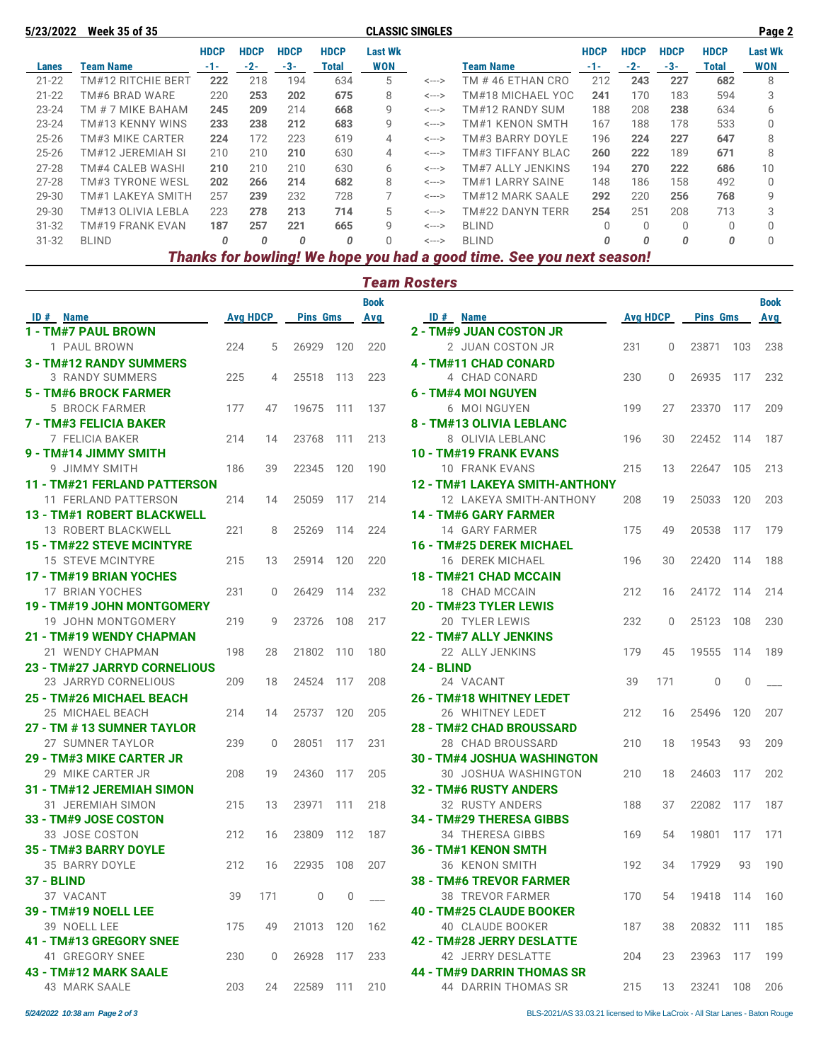| 5/23/2022 | <b>Week 35 of 35</b> |             |             |             |             | <b>CLASSIC SINGLES</b> |                   |                                                                       |             |             |             |             | Page 2         |  |
|-----------|----------------------|-------------|-------------|-------------|-------------|------------------------|-------------------|-----------------------------------------------------------------------|-------------|-------------|-------------|-------------|----------------|--|
|           |                      | <b>HDCP</b> | <b>HDCP</b> | <b>HDCP</b> | <b>HDCP</b> | <b>Last Wk</b>         |                   |                                                                       | <b>HDCP</b> | <b>HDCP</b> | <b>HDCP</b> | <b>HDCP</b> | <b>Last Wk</b> |  |
| Lanes     | <b>Team Name</b>     | $-1-$       | -2-         | -3-         | Total       | <b>WON</b>             |                   | Team Name                                                             | -1-         | $-2-$       | $-3-$       | Total       | <b>WON</b>     |  |
| $21 - 22$ | TM#12 RITCHIE BERT   | 222         | 218         | 194         | 634         | 5                      | <--->             | TM #46 ETHAN CRO                                                      | 212         | 243         | 227         | 682         | 8              |  |
| $21 - 22$ | TM#6 BRAD WARE       | 220         | 253         | 202         | 675         | 8                      | $\leftarrow$ ---> | TM#18 MICHAEL YOC                                                     | 241         | 170         | 183         | 594         | 3              |  |
| $23 - 24$ | TM # 7 MIKE BAHAM    | 245         | 209         | 214         | 668         | 9                      | $\leftarrow$ ---> | TM#12 RANDY SUM                                                       | 188         | 208         | 238         | 634         | 6              |  |
| $23 - 24$ | TM#13 KENNY WINS     | 233         | 238         | 212         | 683         | 9                      | <--->             | TM#1 KENON SMTH                                                       | 167         | 188         | 178         | 533         | $\Omega$       |  |
| $25 - 26$ | TM#3 MIKE CARTER     | 224         | 172         | 223         | 619         | 4                      | $\leftarrow$ ---> | TM#3 BARRY DOYLE                                                      | 196         | 224         | 227         | 647         | 8              |  |
| $25 - 26$ | TM#12 JEREMIAH SI    | 210         | 210         | 210         | 630         | 4                      | $\leftarrow$ ---> | TM#3 TIFFANY BLAC                                                     | 260         | 222         | 189         | 671         | 8              |  |
| $27 - 28$ | TM#4 CALEB WASHI     | 210         | 210         | 210         | 630         | 6                      | $\leftarrow$ ---> | TM#7 ALLY JENKINS                                                     | 194         | 270         | 222         | 686         | 10             |  |
| $27 - 28$ | TM#3 TYRONE WESL     | 202         | 266         | 214         | 682         | 8                      | <--->             | TM#1 LARRY SAINE                                                      | 148         | 186         | 158         | 492         | $\Omega$       |  |
| 29-30     | TM#1 LAKEYA SMITH    | 257         | 239         | 232         | 728         |                        | $\leftarrow$ ---> | TM#12 MARK SAALE                                                      | 292         | 220         | 256         | 768         | 9              |  |
| 29-30     | TM#13 OLIVIA LEBLA   | 223         | 278         | 213         | 714         | 5                      | $\leftarrow$ ---> | TM#22 DANYN TERR                                                      | 254         | 251         | 208         | 713         | 3              |  |
| $31 - 32$ | TM#19 FRANK EVAN     | 187         | 257         | 221         | 665         | 9                      | $\leftarrow$ ---> | <b>BLIND</b>                                                          | $\Omega$    | $\Omega$    | $\Omega$    | $\Omega$    | $\Omega$       |  |
| $31 - 32$ | <b>BLIND</b>         | 0           | 0           | 0           | 0           | <sup>n</sup>           | $\leftarrow$ ---> | <b>BLIND</b>                                                          | $\Omega$    | 0           | $\Omega$    | 0           | $\Omega$       |  |
|           |                      |             |             |             |             |                        |                   | Thanks for bowling! We hope you had a good time. See you next season! |             |             |             |             |                |  |

### *Team Rosters*

|                                     |                 |                |                 |             | <b>Book</b>              |                                    |                 |          |                 |          | <b>Book</b> |
|-------------------------------------|-----------------|----------------|-----------------|-------------|--------------------------|------------------------------------|-----------------|----------|-----------------|----------|-------------|
| ID # Name                           | <b>Avg HDCP</b> |                | <b>Pins Gms</b> |             | Avg                      | ID # Name                          | <b>Avg HDCP</b> |          | <b>Pins Gms</b> |          | Avg         |
| 1 - TM#7 PAUL BROWN                 |                 |                |                 |             |                          | 2 - TM#9 JUAN COSTON JR            |                 |          |                 |          |             |
| 1 PAUL BROWN                        | 224             | 5              | 26929           | 120         | 220                      | 2 JUAN COSTON JR                   | 231             | $\Omega$ | 23871           | 103      | 238         |
| 3 - TM#12 RANDY SUMMERS             |                 |                |                 |             |                          | 4 - TM#11 CHAD CONARD              |                 |          |                 |          |             |
| <b>3 RANDY SUMMERS</b>              | 225             | $\overline{4}$ | 25518           | 113         | 223                      | 4 CHAD CONARD                      | 230             | $\Omega$ | 26935           | 117      | 232         |
| 5 - TM#6 BROCK FARMER               |                 |                |                 |             |                          | 6 - TM#4 MOI NGUYEN                |                 |          |                 |          |             |
| 5 BROCK FARMER                      | 177             | 47             | 19675           | 111         | 137                      | 6 MOI NGUYEN                       | 199             | 27       | 23370           | 117      | 209         |
| 7 - TM#3 FELICIA BAKER              |                 |                |                 |             |                          | 8 - TM#13 OLIVIA LEBLANC           |                 |          |                 |          |             |
| 7 FELICIA BAKER                     | 214             | 14             | 23768           | 111         | 213                      | 8 OLIVIA LEBLANC                   | 196             | 30       | 22452           | 114      | 187         |
| 9 - TM#14 JIMMY SMITH               |                 |                |                 |             |                          | 10 - TM#19 FRANK EVANS             |                 |          |                 |          |             |
| 9 JIMMY SMITH                       | 186             | 39             | 22345           | 120         | 190                      | 10 FRANK EVANS                     | 215             | 13       | 22647           | 105      | 213         |
| <b>11 - TM#21 FERLAND PATTERSON</b> |                 |                |                 |             |                          | 12 - TM#1 LAKEYA SMITH-ANTHONY     |                 |          |                 |          |             |
| 11 FERLAND PATTERSON                | 214             | 14             | 25059           | 117         | 214                      | 12 LAKEYA SMITH-ANTHONY            | 208             | 19       | 25033           | 120      | 203         |
| 13 - TM#1 ROBERT BLACKWELL          |                 |                |                 |             |                          | <b>14 - TM#6 GARY FARMER</b>       |                 |          |                 |          |             |
| 13 ROBERT BLACKWELL                 | 221             | 8              | 25269           | 114         | 224                      | 14 GARY FARMER                     | 175             | 49       | 20538           | 117      | 179         |
| <b>15 - TM#22 STEVE MCINTYRE</b>    |                 |                |                 |             |                          | 16 - TM#25 DEREK MICHAEL           |                 |          |                 |          |             |
| <b>15 STEVE MCINTYRE</b>            | 215             | 13             | 25914           | 120         | 220                      | 16 DEREK MICHAEL                   | 196             | 30       | 22420           | 114      | 188         |
| 17 - TM#19 BRIAN YOCHES             |                 |                |                 |             |                          | 18 - TM#21 CHAD MCCAIN             |                 |          |                 |          |             |
| 17 BRIAN YOCHES                     | 231             | $\Omega$       | 26429           | 114         | 232                      | 18 CHAD MCCAIN                     | 212             | 16       | 24172           | 114      | 214         |
| 19 - TM#19 JOHN MONTGOMERY          |                 |                |                 |             |                          | 20 - TM#23 TYLER LEWIS             |                 |          |                 |          |             |
| 19 JOHN MONTGOMERY                  | 219             | 9              | 23726           | 108         | 217                      | 20 TYLER LEWIS                     | 232             | $\Omega$ | 25123           | 108      | 230         |
| 21 - TM#19 WENDY CHAPMAN            |                 |                |                 |             |                          | 22 - TM#7 ALLY JENKINS             |                 |          |                 |          |             |
| 21 WENDY CHAPMAN                    | 198             | 28             | 21802           | 110         | 180                      | 22 ALLY JENKINS                    | 179             | 45       | 19555           | 114      | 189         |
| 23 - TM#27 JARRYD CORNELIOUS        |                 |                |                 |             |                          | 24 - BLIND                         |                 |          |                 |          |             |
| 23 JARRYD CORNELIOUS                | 209             | 18             | 24524           | 117         | 208                      | 24 VACANT                          | 39              | 171      | $\mathbf 0$     | $\Omega$ |             |
| 25 - TM#26 MICHAEL BEACH            |                 |                |                 |             |                          | 26 - TM#18 WHITNEY LEDET           |                 |          |                 |          |             |
| 25 MICHAEL BEACH                    | 214             | 14             | 25737           | 120         | 205                      | 26 WHITNEY LEDET                   | 212             | 16       | 25496           | 120      | 207         |
| 27 - TM # 13 SUMNER TAYLOR          |                 |                |                 |             |                          | <b>28 - TM#2 CHAD BROUSSARD</b>    |                 |          |                 |          |             |
| 27 SUMNER TAYLOR                    | 239             | 0              | 28051           | 117         | 231                      | 28 CHAD BROUSSARD                  | 210             | 18       | 19543           | 93       | 209         |
| 29 - TM#3 MIKE CARTER JR            |                 |                |                 |             |                          | <b>30 - TM#4 JOSHUA WASHINGTON</b> |                 |          |                 |          |             |
| 29 MIKE CARTER JR                   | 208             | 19             | 24360           | 117         | 205                      | 30 JOSHUA WASHINGTON               | 210             | 18       | 24603           | 117      | 202         |
| 31 - TM#12 JEREMIAH SIMON           |                 |                |                 |             |                          | 32 - TM#6 RUSTY ANDERS             |                 |          |                 |          |             |
| 31 JEREMIAH SIMON                   | 215             | 13             | 23971           | 111         | 218                      | 32 RUSTY ANDERS                    | 188             | 37       | 22082           | 117      | 187         |
| 33 - TM#9 JOSE COSTON               |                 |                |                 |             |                          | 34 - TM#29 THERESA GIBBS           |                 |          |                 |          |             |
| 33 JOSE COSTON                      | 212             | 16             | 23809           | 112         | 187                      | 34 THERESA GIBBS                   | 169             | 54       | 19801           | 117      | 171         |
| 35 - TM#3 BARRY DOYLE               |                 |                |                 |             |                          | 36 - TM#1 KENON SMTH               |                 |          |                 |          |             |
| 35 BARRY DOYLE                      | 212             | 16             | 22935           | 108         | 207                      | 36 KENON SMITH                     | 192             | 34       | 17929           | 93       | 190         |
| <b>37 - BLIND</b>                   |                 |                |                 |             |                          | 38 - TM#6 TREVOR FARMER            |                 |          |                 |          |             |
| 37 VACANT                           | 39              | 171            | $\mathbf{0}$    | $\mathbf 0$ | $\overline{\phantom{a}}$ | 38 TREVOR FARMER                   | 170             | 54       | 19418           | 114      | 160         |
| 39 - TM#19 NOELL LEE                |                 |                |                 |             |                          | 40 - TM#25 CLAUDE BOOKER           |                 |          |                 |          |             |
| 39 NOELL LEE                        | 175             | 49             | 21013           | 120         | 162                      | 40 CLAUDE BOOKER                   | 187             | 38       | 20832           | 111      | 185         |
| 41 - TM#13 GREGORY SNEE             |                 |                |                 |             |                          | 42 - TM#28 JERRY DESLATTE          |                 |          |                 |          |             |
| 41 GREGORY SNEE                     | 230             | $\Omega$       | 26928           | 117         | 233                      | 42 JERRY DESLATTE                  | 204             | 23       | 23963           | 117      | 199         |
| 43 - TM#12 MARK SAALE               |                 |                |                 |             |                          | <b>44 - TM#9 DARRIN THOMAS SR</b>  |                 |          |                 |          |             |
| 43 MARK SAALE                       | 203             | 24             | 22589           | 111         | 210                      | 44 DARRIN THOMAS SR                | 215             | 13       | 23241           | 108      | 206         |